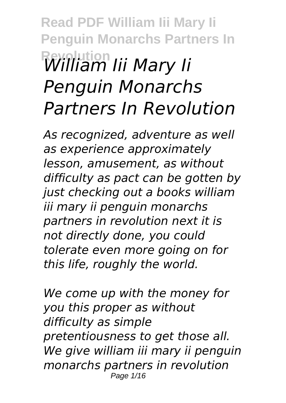## **Read PDF William Iii Mary Ii Penguin Monarchs Partners In Revolution** *William Iii Mary Ii Penguin Monarchs Partners In Revolution*

*As recognized, adventure as well as experience approximately lesson, amusement, as without difficulty as pact can be gotten by just checking out a books william iii mary ii penguin monarchs partners in revolution next it is not directly done, you could tolerate even more going on for this life, roughly the world.*

*We come up with the money for you this proper as without difficulty as simple pretentiousness to get those all. We give william iii mary ii penguin monarchs partners in revolution* Page 1/16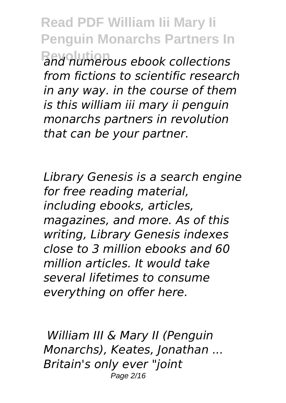**Read PDF William Iii Mary Ii Penguin Monarchs Partners In Revolution** *and numerous ebook collections from fictions to scientific research in any way. in the course of them is this william iii mary ii penguin monarchs partners in revolution that can be your partner.*

*Library Genesis is a search engine for free reading material, including ebooks, articles, magazines, and more. As of this writing, Library Genesis indexes close to 3 million ebooks and 60 million articles. It would take several lifetimes to consume everything on offer here.*

*William III & Mary II (Penguin Monarchs), Keates, Jonathan ... Britain's only ever "joint* Page 2/16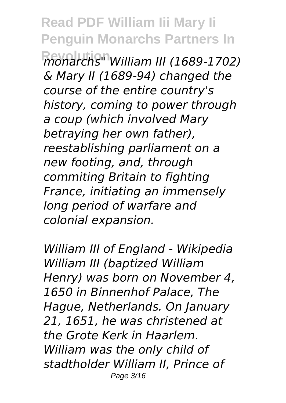**Revolution** *monarchs" William III (1689-1702) & Mary II (1689-94) changed the course of the entire country's history, coming to power through a coup (which involved Mary betraying her own father), reestablishing parliament on a new footing, and, through commiting Britain to fighting France, initiating an immensely long period of warfare and colonial expansion.*

*William III of England - Wikipedia William III (baptized William Henry) was born on November 4, 1650 in Binnenhof Palace, The Hague, Netherlands. On January 21, 1651, he was christened at the Grote Kerk in Haarlem. William was the only child of stadtholder William II, Prince of* Page 3/16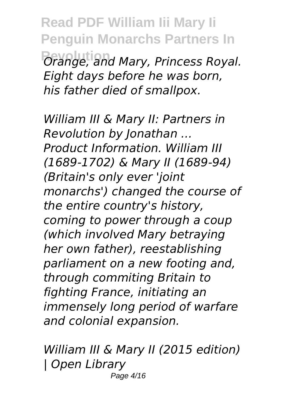**Read PDF William Iii Mary Ii Penguin Monarchs Partners In Revolution** *Orange, and Mary, Princess Royal. Eight days before he was born, his father died of smallpox.*

*William III & Mary II: Partners in Revolution by Jonathan ... Product Information. William III (1689-1702) & Mary II (1689-94) (Britain's only ever 'joint monarchs') changed the course of the entire country's history, coming to power through a coup (which involved Mary betraying her own father), reestablishing parliament on a new footing and, through commiting Britain to fighting France, initiating an immensely long period of warfare and colonial expansion.*

*William III & Mary II (2015 edition) | Open Library* Page 4/16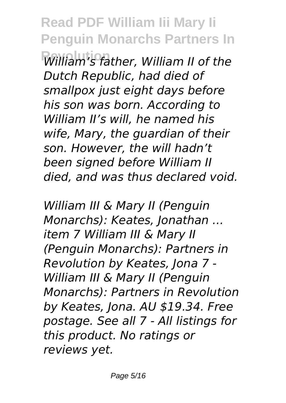**Revolution** *William's father, William II of the Dutch Republic, had died of smallpox just eight days before his son was born. According to William II's will, he named his wife, Mary, the guardian of their son. However, the will hadn't been signed before William II died, and was thus declared void.*

*William III & Mary II (Penguin Monarchs): Keates, Jonathan ... item 7 William III & Mary II (Penguin Monarchs): Partners in Revolution by Keates, Jona 7 - William III & Mary II (Penguin Monarchs): Partners in Revolution by Keates, Jona. AU \$19.34. Free postage. See all 7 - All listings for this product. No ratings or reviews yet.*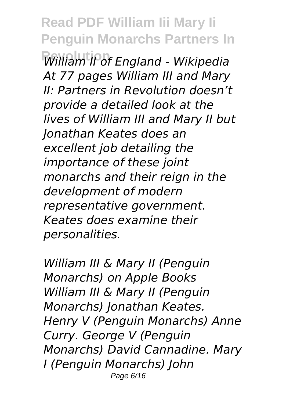**Read PDF William Iii Mary Ii Penguin Monarchs Partners In Revolution** *William II of England - Wikipedia At 77 pages William III and Mary II: Partners in Revolution doesn't provide a detailed look at the lives of William III and Mary II but Jonathan Keates does an excellent job detailing the importance of these joint monarchs and their reign in the development of modern representative government. Keates does examine their personalities.*

*William III & Mary II (Penguin Monarchs) on Apple Books William III & Mary II (Penguin Monarchs) Jonathan Keates. Henry V (Penguin Monarchs) Anne Curry. George V (Penguin Monarchs) David Cannadine. Mary I (Penguin Monarchs) John* Page 6/16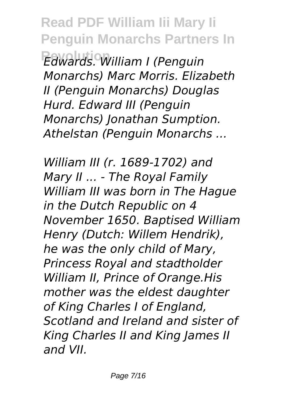**Read PDF William Iii Mary Ii Penguin Monarchs Partners In Revolution** *Edwards. William I (Penguin Monarchs) Marc Morris. Elizabeth II (Penguin Monarchs) Douglas Hurd. Edward III (Penguin Monarchs) Jonathan Sumption. Athelstan (Penguin Monarchs ...*

*William III (r. 1689-1702) and Mary II ... - The Royal Family William III was born in The Hague in the Dutch Republic on 4 November 1650. Baptised William Henry (Dutch: Willem Hendrik), he was the only child of Mary, Princess Royal and stadtholder William II, Prince of Orange.His mother was the eldest daughter of King Charles I of England, Scotland and Ireland and sister of King Charles II and King James II and VII.*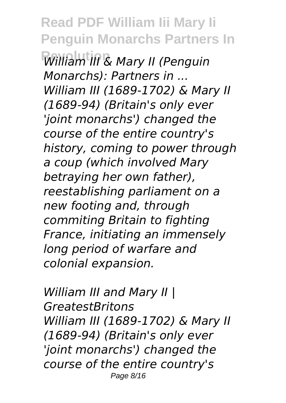**Revolution** *William III & Mary II (Penguin Monarchs): Partners in ... William III (1689-1702) & Mary II (1689-94) (Britain's only ever 'joint monarchs') changed the course of the entire country's history, coming to power through a coup (which involved Mary betraying her own father), reestablishing parliament on a new footing and, through commiting Britain to fighting France, initiating an immensely long period of warfare and colonial expansion.*

*William III and Mary II | GreatestBritons William III (1689-1702) & Mary II (1689-94) (Britain's only ever 'joint monarchs') changed the course of the entire country's* Page 8/16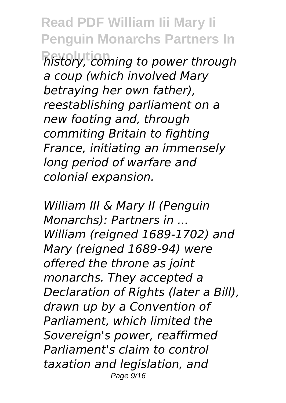**Read PDF William Iii Mary Ii Penguin Monarchs Partners In Revolution** *history, coming to power through a coup (which involved Mary betraying her own father), reestablishing parliament on a new footing and, through commiting Britain to fighting France, initiating an immensely long period of warfare and colonial expansion.*

*William III & Mary II (Penguin Monarchs): Partners in ... William (reigned 1689-1702) and Mary (reigned 1689-94) were offered the throne as joint monarchs. They accepted a Declaration of Rights (later a Bill), drawn up by a Convention of Parliament, which limited the Sovereign's power, reaffirmed Parliament's claim to control taxation and legislation, and* Page 9/16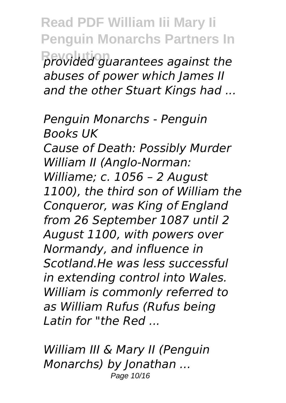**Read PDF William Iii Mary Ii Penguin Monarchs Partners In Revolution** *provided guarantees against the abuses of power which James II and the other Stuart Kings had ...*

*Penguin Monarchs - Penguin Books UK Cause of Death: Possibly Murder William II (Anglo-Norman: Williame; c. 1056 – 2 August 1100), the third son of William the Conqueror, was King of England from 26 September 1087 until 2 August 1100, with powers over Normandy, and influence in Scotland.He was less successful in extending control into Wales. William is commonly referred to as William Rufus (Rufus being Latin for "the Red ...*

*William III & Mary II (Penguin Monarchs) by Jonathan ...* Page 10/16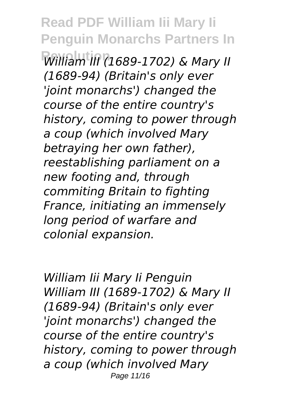**Revolution** *William III (1689-1702) & Mary II (1689-94) (Britain's only ever 'joint monarchs') changed the course of the entire country's history, coming to power through a coup (which involved Mary betraying her own father), reestablishing parliament on a new footing and, through commiting Britain to fighting France, initiating an immensely long period of warfare and colonial expansion.*

*William Iii Mary Ii Penguin William III (1689-1702) & Mary II (1689-94) (Britain's only ever 'joint monarchs') changed the course of the entire country's history, coming to power through a coup (which involved Mary* Page 11/16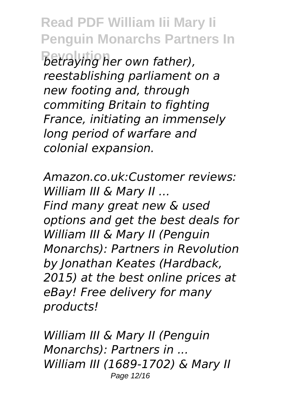**Read PDF William Iii Mary Ii Penguin Monarchs Partners In**  $B$ etraying her own father), *reestablishing parliament on a new footing and, through commiting Britain to fighting France, initiating an immensely long period of warfare and colonial expansion.*

*Amazon.co.uk:Customer reviews: William III & Mary II ... Find many great new & used options and get the best deals for William III & Mary II (Penguin Monarchs): Partners in Revolution by Jonathan Keates (Hardback, 2015) at the best online prices at eBay! Free delivery for many products!*

*William III & Mary II (Penguin Monarchs): Partners in ... William III (1689-1702) & Mary II* Page 12/16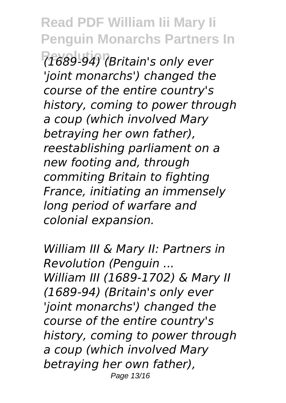**Revolution** *(1689-94) (Britain's only ever 'joint monarchs') changed the course of the entire country's history, coming to power through a coup (which involved Mary betraying her own father), reestablishing parliament on a new footing and, through commiting Britain to fighting France, initiating an immensely long period of warfare and colonial expansion.*

*William III & Mary II: Partners in Revolution (Penguin ... William III (1689-1702) & Mary II (1689-94) (Britain's only ever 'joint monarchs') changed the course of the entire country's history, coming to power through a coup (which involved Mary betraying her own father),* Page 13/16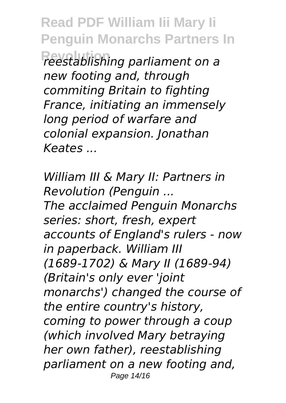**Read PDF William Iii Mary Ii Penguin Monarchs Partners In Revolution** *reestablishing parliament on a new footing and, through commiting Britain to fighting France, initiating an immensely long period of warfare and colonial expansion. Jonathan Keates ...*

*William III & Mary II: Partners in Revolution (Penguin ... The acclaimed Penguin Monarchs series: short, fresh, expert accounts of England's rulers - now in paperback. William III (1689-1702) & Mary II (1689-94) (Britain's only ever 'joint monarchs') changed the course of the entire country's history, coming to power through a coup (which involved Mary betraying her own father), reestablishing parliament on a new footing and,* Page 14/16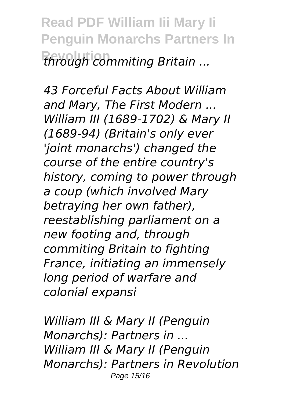**Read PDF William Iii Mary Ii Penguin Monarchs Partners In Revolution** *through commiting Britain ...*

*43 Forceful Facts About William and Mary, The First Modern ... William III (1689-1702) & Mary II (1689-94) (Britain's only ever 'joint monarchs') changed the course of the entire country's history, coming to power through a coup (which involved Mary betraying her own father), reestablishing parliament on a new footing and, through commiting Britain to fighting France, initiating an immensely long period of warfare and colonial expansi*

*William III & Mary II (Penguin Monarchs): Partners in ... William III & Mary II (Penguin Monarchs): Partners in Revolution* Page 15/16